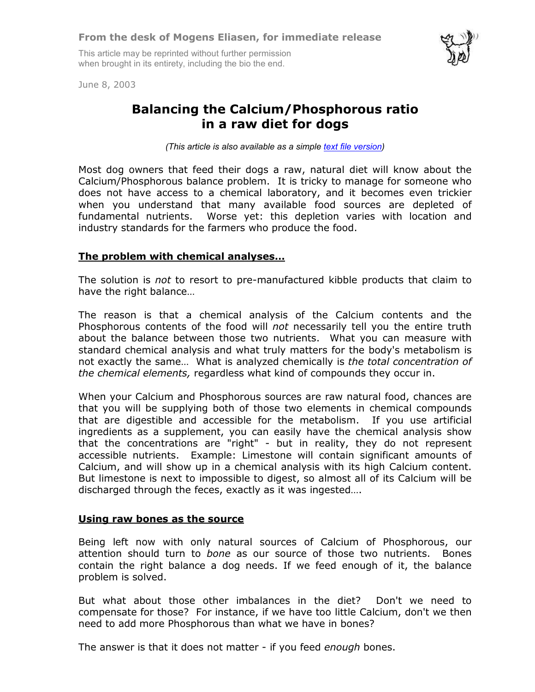This article may be reprinted without further permission when brought in its entirety, including the bio the end.



June 8, 2003

## **Balancing the Calcium/Phosphorous ratio in a raw diet for dogs**

*(This article is also available as a simple [text file version\)](mailto:dogfood01cap@k9joy.com?subject=Retrieve article on the Ca/P balance in dog food)*

Most dog owners that feed their dogs a raw, natural diet will know about the Calcium/Phosphorous balance problem. It is tricky to manage for someone who does not have access to a chemical laboratory, and it becomes even trickier when you understand that many available food sources are depleted of fundamental nutrients. Worse yet: this depletion varies with location and industry standards for the farmers who produce the food.

## **The problem with chemical analyses…**

The solution is *not* to resort to pre-manufactured kibble products that claim to have the right balance…

The reason is that a chemical analysis of the Calcium contents and the Phosphorous contents of the food will *not* necessarily tell you the entire truth about the balance between those two nutrients. What you can measure with standard chemical analysis and what truly matters for the body's metabolism is not exactly the same… What is analyzed chemically is *the total concentration of the chemical elements,* regardless what kind of compounds they occur in.

When your Calcium and Phosphorous sources are raw natural food, chances are that you will be supplying both of those two elements in chemical compounds that are digestible and accessible for the metabolism. If you use artificial ingredients as a supplement, you can easily have the chemical analysis show that the concentrations are "right" - but in reality, they do not represent accessible nutrients. Example: Limestone will contain significant amounts of Calcium, and will show up in a chemical analysis with its high Calcium content. But limestone is next to impossible to digest, so almost all of its Calcium will be discharged through the feces, exactly as it was ingested….

## **Using raw bones as the source**

Being left now with only natural sources of Calcium of Phosphorous, our attention should turn to *bone* as our source of those two nutrients. Bones contain the right balance a dog needs. If we feed enough of it, the balance problem is solved.

But what about those other imbalances in the diet? Don't we need to compensate for those? For instance, if we have too little Calcium, don't we then need to add more Phosphorous than what we have in bones?

The answer is that it does not matter - if you feed *enough* bones.